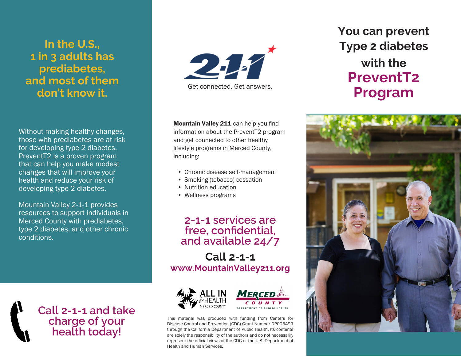# **In the U.S., 1 in 3 adults has prediabetes, and most of them don't know it.**

Without making healthy changes, those with prediabetes are at risk for developing type 2 diabetes. PreventT2 is a proven program that can help you make modest changes that will improve your health and reduce your risk of developing type 2 diabetes.

Mountain Valley 2-1-1 provides resources to support individuals in Merced County with prediabetes, type 2 diabetes, and other chronic conditions.

> **Call 2-1-1 and take charge of your health today!**



Mountain Valley 211 can help you find information about the PreventT2 program and get connected to other healthy lifestyle programs in Merced County, including:

- Chronic disease self-management
- Smoking (tobacco) cessation
- Nutrition education
- Wellness programs

## **2-1-1 services are free, confidential, and available 24/7**

**Call 2-1-1 www.MountainValley211.org**





This material was produced with funding from Centers for Disease Control and Prevention (CDC) Grant Number DP005499 through the California Department of Public Health. Its contents are solely the responsibility of the authors and do not necessarily represent the official views of the CDC or the U.S. Department of Health and Human Services.

# **You can prevent Type 2 diabetes with the PreventT2 Program**